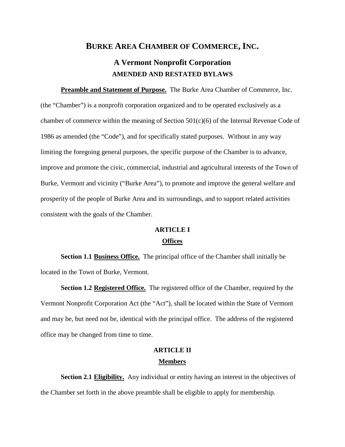# **BURKE AREA CHAMBER OF COMMERCE, INC.**

# **A Vermont Nonprofit Corporation AMENDED AND RESTATED BYLAWS**

**Preamble and Statement of Purpose.** The Burke Area Chamber of Commerce, Inc. (the "Chamber") is a nonprofit corporation organized and to be operated exclusively as a chamber of commerce within the meaning of Section  $501(c)(6)$  of the Internal Revenue Code of 1986 as amended (the "Code"), and for specifically stated purposes. Without in any way limiting the foregoing general purposes, the specific purpose of the Chamber is to advance, improve and promote the civic, commercial, industrial and agricultural interests of the Town of Burke, Vermont and vicinity ("Burke Area"), to promote and improve the general welfare and prosperity of the people of Burke Area and its surroundings, and to support related activities consistent with the goals of the Chamber.

## **ARTICLE I**

## **Offices**

**Section 1.1 Business Office.** The principal office of the Chamber shall initially be located in the Town of Burke, Vermont.

**Section 1.2 Registered Office.** The registered office of the Chamber, required by the Vermont Nonprofit Corporation Act (the "Act"), shall be located within the State of Vermont and may be, but need not be, identical with the principal office. The address of the registered office may be changed from time to time.

## **ARTICLE II Members**

**Section 2.1 Eligibility.** Any individual or entity having an interest in the objectives of the Chamber set forth in the above preamble shall be eligible to apply for membership.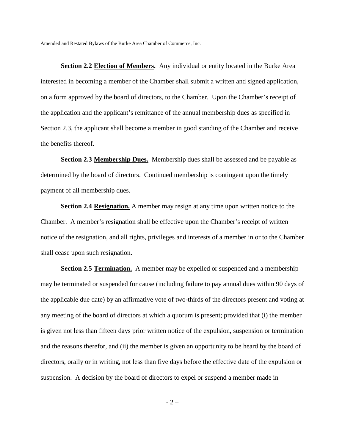**Section 2.2 Election of Members.** Any individual or entity located in the Burke Area interested in becoming a member of the Chamber shall submit a written and signed application, on a form approved by the board of directors, to the Chamber. Upon the Chamber's receipt of the application and the applicant's remittance of the annual membership dues as specified in Section 2.3, the applicant shall become a member in good standing of the Chamber and receive the benefits thereof.

**Section 2.3 Membership Dues.** Membership dues shall be assessed and be payable as determined by the board of directors. Continued membership is contingent upon the timely payment of all membership dues.

**Section 2.4 Resignation.** A member may resign at any time upon written notice to the Chamber. A member's resignation shall be effective upon the Chamber's receipt of written notice of the resignation, and all rights, privileges and interests of a member in or to the Chamber shall cease upon such resignation.

**Section 2.5 Termination.** A member may be expelled or suspended and a membership may be terminated or suspended for cause (including failure to pay annual dues within 90 days of the applicable due date) by an affirmative vote of two-thirds of the directors present and voting at any meeting of the board of directors at which a quorum is present; provided that (i) the member is given not less than fifteen days prior written notice of the expulsion, suspension or termination and the reasons therefor, and (ii) the member is given an opportunity to be heard by the board of directors, orally or in writing, not less than five days before the effective date of the expulsion or suspension. A decision by the board of directors to expel or suspend a member made in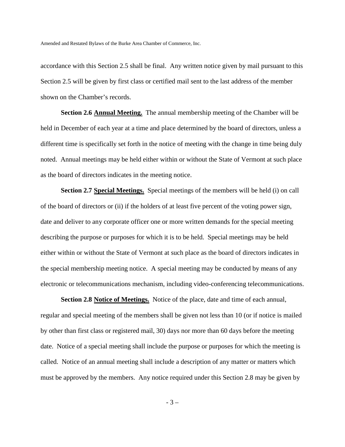accordance with this Section 2.5 shall be final. Any written notice given by mail pursuant to this Section 2.5 will be given by first class or certified mail sent to the last address of the member shown on the Chamber's records.

**Section 2.6 Annual Meeting.** The annual membership meeting of the Chamber will be held in December of each year at a time and place determined by the board of directors, unless a different time is specifically set forth in the notice of meeting with the change in time being duly noted. Annual meetings may be held either within or without the State of Vermont at such place as the board of directors indicates in the meeting notice.

**Section 2.7 Special Meetings.** Special meetings of the members will be held (i) on call of the board of directors or (ii) if the holders of at least five percent of the voting power sign, date and deliver to any corporate officer one or more written demands for the special meeting describing the purpose or purposes for which it is to be held. Special meetings may be held either within or without the State of Vermont at such place as the board of directors indicates in the special membership meeting notice. A special meeting may be conducted by means of any electronic or telecommunications mechanism, including video-conferencing telecommunications.

**Section 2.8 Notice of Meetings.** Notice of the place, date and time of each annual, regular and special meeting of the members shall be given not less than 10 (or if notice is mailed by other than first class or registered mail, 30) days nor more than 60 days before the meeting date. Notice of a special meeting shall include the purpose or purposes for which the meeting is called. Notice of an annual meeting shall include a description of any matter or matters which must be approved by the members. Any notice required under this Section 2.8 may be given by

- 3 –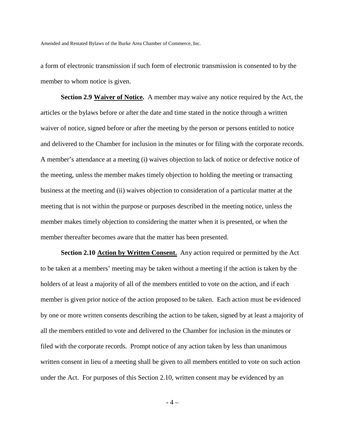a form of electronic transmission if such form of electronic transmission is consented to by the member to whom notice is given.

**Section 2.9 Waiver of Notice.** A member may waive any notice required by the Act, the articles or the bylaws before or after the date and time stated in the notice through a written waiver of notice, signed before or after the meeting by the person or persons entitled to notice and delivered to the Chamber for inclusion in the minutes or for filing with the corporate records. A member's attendance at a meeting (i) waives objection to lack of notice or defective notice of the meeting, unless the member makes timely objection to holding the meeting or transacting business at the meeting and (ii) waives objection to consideration of a particular matter at the meeting that is not within the purpose or purposes described in the meeting notice, unless the member makes timely objection to considering the matter when it is presented, or when the member thereafter becomes aware that the matter has been presented.

**Section 2.10 Action by Written Consent.** Any action required or permitted by the Act to be taken at a members' meeting may be taken without a meeting if the action is taken by the holders of at least a majority of all of the members entitled to vote on the action, and if each member is given prior notice of the action proposed to be taken. Each action must be evidenced by one or more written consents describing the action to be taken, signed by at least a majority of all the members entitled to vote and delivered to the Chamber for inclusion in the minutes or filed with the corporate records. Prompt notice of any action taken by less than unanimous written consent in lieu of a meeting shall be given to all members entitled to vote on such action under the Act. For purposes of this Section 2.10, written consent may be evidenced by an

- 4 –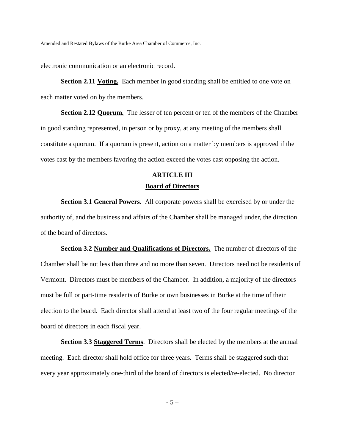electronic communication or an electronic record.

**Section 2.11 Voting.** Each member in good standing shall be entitled to one vote on each matter voted on by the members.

**Section 2.12 Quorum.** The lesser of ten percent or ten of the members of the Chamber in good standing represented, in person or by proxy, at any meeting of the members shall constitute a quorum. If a quorum is present, action on a matter by members is approved if the votes cast by the members favoring the action exceed the votes cast opposing the action.

# **ARTICLE III**

## **Board of Directors**

**Section 3.1 General Powers.** All corporate powers shall be exercised by or under the authority of, and the business and affairs of the Chamber shall be managed under, the direction of the board of directors.

**Section 3.2 Number and Qualifications of Directors.** The number of directors of the Chamber shall be not less than three and no more than seven. Directors need not be residents of Vermont. Directors must be members of the Chamber. In addition, a majority of the directors must be full or part-time residents of Burke or own businesses in Burke at the time of their election to the board. Each director shall attend at least two of the four regular meetings of the board of directors in each fiscal year.

**Section 3.3 Staggered Terms**. Directors shall be elected by the members at the annual meeting. Each director shall hold office for three years. Terms shall be staggered such that every year approximately one-third of the board of directors is elected/re-elected. No director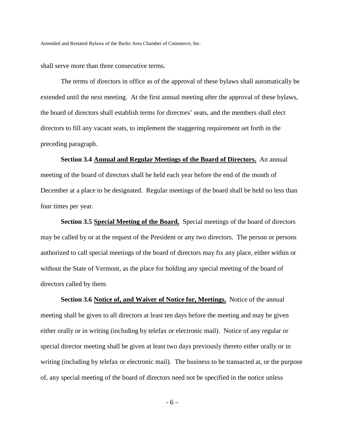shall serve more than three consecutive terms.

The terms of directors in office as of the approval of these bylaws shall automatically be extended until the next meeting. At the first annual meeting after the approval of these bylaws, the board of directors shall establish terms for directors' seats, and the members shall elect directors to fill any vacant seats, to implement the staggering requirement set forth in the preceding paragraph.

**Section 3.4 Annual and Regular Meetings of the Board of Directors.** An annual meeting of the board of directors shall be held each year before the end of the month of December at a place to be designated. Regular meetings of the board shall be held no less than four times per year.

**Section 3.5 Special Meeting of the Board.** Special meetings of the board of directors may be called by or at the request of the President or any two directors. The person or persons authorized to call special meetings of the board of directors may fix any place, either within or without the State of Vermont, as the place for holding any special meeting of the board of directors called by them.

**Section 3.6 Notice of, and Waiver of Notice for, Meetings.** Notice of the annual meeting shall be given to all directors at least ten days before the meeting and may be given either orally or in writing (including by telefax or electronic mail). Notice of any regular or special director meeting shall be given at least two days previously thereto either orally or in writing (including by telefax or electronic mail). The business to be transacted at, or the purpose of, any special meeting of the board of directors need not be specified in the notice unless

- 6 –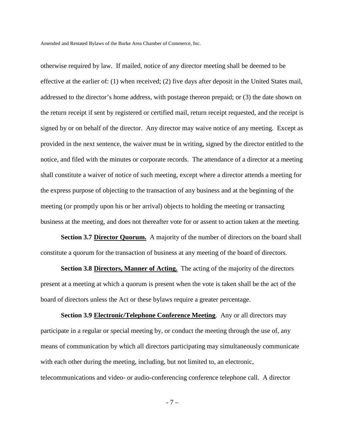otherwise required by law. If mailed, notice of any director meeting shall be deemed to be effective at the earlier of: (1) when received; (2) five days after deposit in the United States mail, addressed to the director's home address, with postage thereon prepaid; or (3) the date shown on the return receipt if sent by registered or certified mail, return receipt requested, and the receipt is signed by or on behalf of the director. Any director may waive notice of any meeting. Except as provided in the next sentence, the waiver must be in writing, signed by the director entitled to the notice, and filed with the minutes or corporate records. The attendance of a director at a meeting shall constitute a waiver of notice of such meeting, except where a director attends a meeting for the express purpose of objecting to the transaction of any business and at the beginning of the meeting (or promptly upon his or her arrival) objects to holding the meeting or transacting business at the meeting, and does not thereafter vote for or assent to action taken at the meeting.

**Section 3.7 Director Quorum.** A majority of the number of directors on the board shall constitute a quorum for the transaction of business at any meeting of the board of directors.

**Section 3.8 Directors, Manner of Acting.** The acting of the majority of the directors present at a meeting at which a quorum is present when the vote is taken shall be the act of the board of directors unless the Act or these bylaws require a greater percentage.

**Section 3.9 Electronic/Telephone Conference Meeting**. Any or all directors may participate in a regular or special meeting by, or conduct the meeting through the use of, any means of communication by which all directors participating may simultaneously communicate with each other during the meeting, including, but not limited to, an electronic, telecommunications and video- or audio-conferencing conference telephone call. A director

- 7 –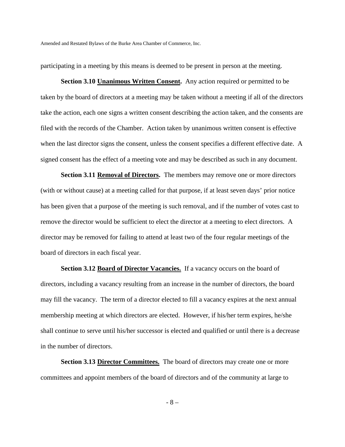participating in a meeting by this means is deemed to be present in person at the meeting.

**Section 3.10 Unanimous Written Consent.** Any action required or permitted to be taken by the board of directors at a meeting may be taken without a meeting if all of the directors take the action, each one signs a written consent describing the action taken, and the consents are filed with the records of the Chamber. Action taken by unanimous written consent is effective when the last director signs the consent, unless the consent specifies a different effective date. A signed consent has the effect of a meeting vote and may be described as such in any document.

**Section 3.11 Removal of Directors.** The members may remove one or more directors (with or without cause) at a meeting called for that purpose, if at least seven days' prior notice has been given that a purpose of the meeting is such removal, and if the number of votes cast to remove the director would be sufficient to elect the director at a meeting to elect directors. A director may be removed for failing to attend at least two of the four regular meetings of the board of directors in each fiscal year.

**Section 3.12 Board of Director Vacancies.** If a vacancy occurs on the board of directors, including a vacancy resulting from an increase in the number of directors, the board may fill the vacancy. The term of a director elected to fill a vacancy expires at the next annual membership meeting at which directors are elected. However, if his/her term expires, he/she shall continue to serve until his/her successor is elected and qualified or until there is a decrease in the number of directors.

**Section 3.13 Director Committees.** The board of directors may create one or more committees and appoint members of the board of directors and of the community at large to

- 8 –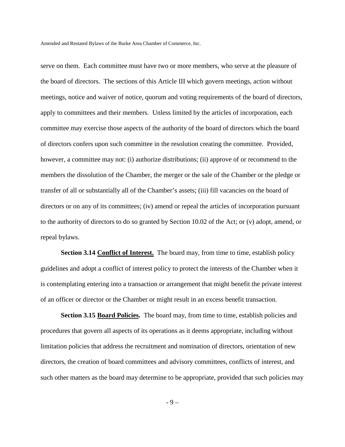serve on them. Each committee must have two or more members, who serve at the pleasure of the board of directors. The sections of this Article III which govern meetings, action without meetings, notice and waiver of notice, quorum and voting requirements of the board of directors, apply to committees and their members. Unless limited by the articles of incorporation, each committee may exercise those aspects of the authority of the board of directors which the board of directors confers upon such committee in the resolution creating the committee. Provided, however, a committee may not: (i) authorize distributions; (ii) approve of or recommend to the members the dissolution of the Chamber, the merger or the sale of the Chamber or the pledge or transfer of all or substantially all of the Chamber's assets; (iii) fill vacancies on the board of directors or on any of its committees; (iv) amend or repeal the articles of incorporation pursuant to the authority of directors to do so granted by Section 10.02 of the Act; or (v) adopt, amend, or repeal bylaws.

Section 3.14 **Conflict of Interest.** The board may, from time to time, establish policy guidelines and adopt a conflict of interest policy to protect the interests of the Chamber when it is contemplating entering into a transaction or arrangement that might benefit the private interest of an officer or director or the Chamber or might result in an excess benefit transaction.

**Section 3.15 <u>Board Policies</u>.** The board may, from time to time, establish policies and procedures that govern all aspects of its operations as it deems appropriate, including without limitation policies that address the recruitment and nomination of directors, orientation of new directors, the creation of board committees and advisory committees, conflicts of interest, and such other matters as the board may determine to be appropriate, provided that such policies may

- 9 –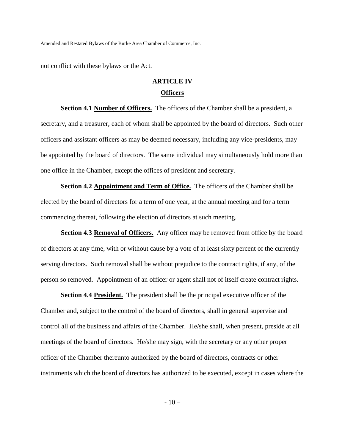not conflict with these bylaws or the Act.

# **ARTICLE IV Officers**

**Section 4.1 Number of Officers.** The officers of the Chamber shall be a president, a secretary, and a treasurer, each of whom shall be appointed by the board of directors. Such other officers and assistant officers as may be deemed necessary, including any vice-presidents, may be appointed by the board of directors. The same individual may simultaneously hold more than one office in the Chamber, except the offices of president and secretary.

**Section 4.2 Appointment and Term of Office.** The officers of the Chamber shall be elected by the board of directors for a term of one year, at the annual meeting and for a term commencing thereat, following the election of directors at such meeting.

**Section 4.3 Removal of Officers.** Any officer may be removed from office by the board of directors at any time, with or without cause by a vote of at least sixty percent of the currently serving directors. Such removal shall be without prejudice to the contract rights, if any, of the person so removed. Appointment of an officer or agent shall not of itself create contract rights.

**Section 4.4 President.** The president shall be the principal executive officer of the Chamber and, subject to the control of the board of directors, shall in general supervise and control all of the business and affairs of the Chamber. He/she shall, when present, preside at all meetings of the board of directors. He/she may sign, with the secretary or any other proper officer of the Chamber thereunto authorized by the board of directors, contracts or other instruments which the board of directors has authorized to be executed, except in cases where the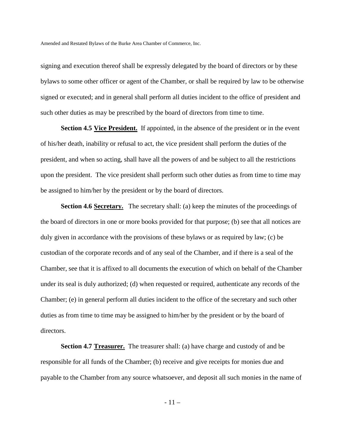signing and execution thereof shall be expressly delegated by the board of directors or by these bylaws to some other officer or agent of the Chamber, or shall be required by law to be otherwise signed or executed; and in general shall perform all duties incident to the office of president and such other duties as may be prescribed by the board of directors from time to time.

**Section 4.5 <u>Vice President.</u>** If appointed, in the absence of the president or in the event of his/her death, inability or refusal to act, the vice president shall perform the duties of the president, and when so acting, shall have all the powers of and be subject to all the restrictions upon the president. The vice president shall perform such other duties as from time to time may be assigned to him/her by the president or by the board of directors.

**Section 4.6 <u>Secretary.</u>** The secretary shall: (a) keep the minutes of the proceedings of the board of directors in one or more books provided for that purpose; (b) see that all notices are duly given in accordance with the provisions of these bylaws or as required by law; (c) be custodian of the corporate records and of any seal of the Chamber, and if there is a seal of the Chamber, see that it is affixed to all documents the execution of which on behalf of the Chamber under its seal is duly authorized; (d) when requested or required, authenticate any records of the Chamber; (e) in general perform all duties incident to the office of the secretary and such other duties as from time to time may be assigned to him/her by the president or by the board of directors.

**Section 4.7 Treasurer.** The treasurer shall: (a) have charge and custody of and be responsible for all funds of the Chamber; (b) receive and give receipts for monies due and payable to the Chamber from any source whatsoever, and deposit all such monies in the name of

- 11 –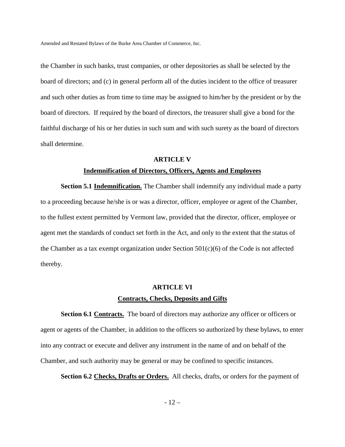the Chamber in such banks, trust companies, or other depositories as shall be selected by the board of directors; and (c) in general perform all of the duties incident to the office of treasurer and such other duties as from time to time may be assigned to him/her by the president or by the board of directors. If required by the board of directors, the treasurer shall give a bond for the faithful discharge of his or her duties in such sum and with such surety as the board of directors shall determine.

## **ARTICLE V Indemnification of Directors, Officers, Agents and Employees**

**Section 5.1 Indemnification.** The Chamber shall indemnify any individual made a party to a proceeding because he/she is or was a director, officer, employee or agent of the Chamber, to the fullest extent permitted by Vermont law, provided that the director, officer, employee or agent met the standards of conduct set forth in the Act, and only to the extent that the status of the Chamber as a tax exempt organization under Section  $501(c)(6)$  of the Code is not affected thereby.

## **ARTICLE VI Contracts, Checks, Deposits and Gifts**

**Section 6.1 Contracts.** The board of directors may authorize any officer or officers or agent or agents of the Chamber, in addition to the officers so authorized by these bylaws, to enter into any contract or execute and deliver any instrument in the name of and on behalf of the Chamber, and such authority may be general or may be confined to specific instances.

**Section 6.2 Checks, Drafts or Orders.** All checks, drafts, or orders for the payment of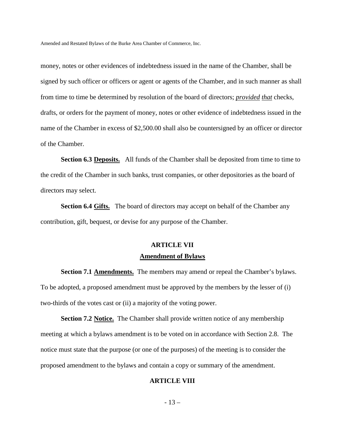money, notes or other evidences of indebtedness issued in the name of the Chamber, shall be signed by such officer or officers or agent or agents of the Chamber, and in such manner as shall from time to time be determined by resolution of the board of directors; *provided that* checks, drafts, or orders for the payment of money, notes or other evidence of indebtedness issued in the name of the Chamber in excess of \$2,500.00 shall also be countersigned by an officer or director of the Chamber.

**Section 6.3 Deposits.** All funds of the Chamber shall be deposited from time to time to the credit of the Chamber in such banks, trust companies, or other depositories as the board of directors may select.

**Section 6.4 Gifts.** The board of directors may accept on behalf of the Chamber any contribution, gift, bequest, or devise for any purpose of the Chamber.

#### **ARTICLE VII**

#### **Amendment of Bylaws**

**Section 7.1 Amendments.** The members may amend or repeal the Chamber's bylaws. To be adopted, a proposed amendment must be approved by the members by the lesser of (i) two-thirds of the votes cast or (ii) a majority of the voting power.

**Section 7.2 Notice.** The Chamber shall provide written notice of any membership meeting at which a bylaws amendment is to be voted on in accordance with Section 2.8. The notice must state that the purpose (or one of the purposes) of the meeting is to consider the proposed amendment to the bylaws and contain a copy or summary of the amendment.

#### **ARTICLE VIII**